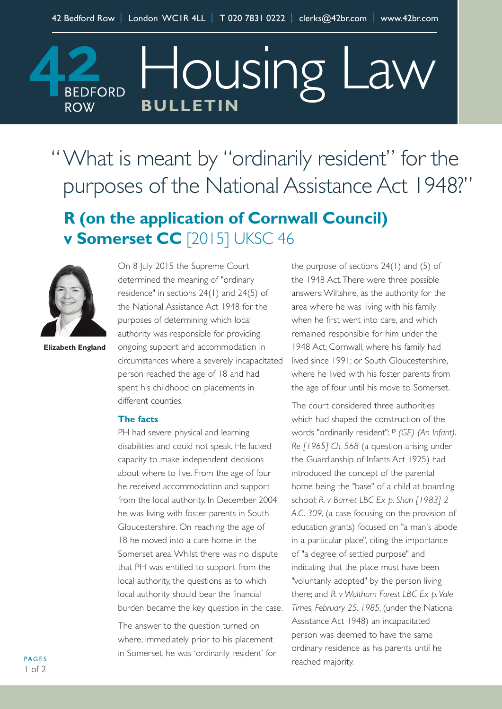**BULLETIN ROW** "What is meant by "ordinarily resident" for the purposes of the National Assistance Act 1948?"

Housing Law

## **R (on the application of Cornwall Council) v Somerset CC** [2015] UKSC 46



**BEDFORD** 

**Elizabeth England**

On 8 July 2015 the Supreme Court determined the meaning of "ordinary residence" in sections 24(1) and 24(5) of the National Assistance Act 1948 for the purposes of determining which local authority was responsible for providing ongoing support and accommodation in circumstances where a severely incapacitated person reached the age of 18 and had spent his childhood on placements in different counties.

## **The facts**

PH had severe physical and learning disabilities and could not speak. He lacked capacity to make independent decisions about where to live. From the age of four he received accommodation and support from the local authority. In December 2004 he was living with foster parents in South Gloucestershire. On reaching the age of 18 he moved into a care home in the Somerset area.Whilst there was no dispute that PH was entitled to support from the local authority, the questions as to which local authority should bear the financial burden became the key question in the case.

The answer to the question turned on where, immediately prior to his placement in Somerset, he was 'ordinarily resident' for the purpose of sections 24(1) and (5) of the 1948 Act.There were three possible answers:Wiltshire, as the authority for the area where he was living with his family when he first went into care, and which remained responsible for him under the 1948 Act; Cornwall, where his family had lived since 1991; or South Gloucestershire, where he lived with his foster parents from the age of four until his move to Somerset.

The court considered three authorities which had shaped the construction of the words "ordinarily resident": *P (GE) (An Infant), Re [1965] Ch. 568* (a question arising under the Guardianship of Infants Act 1925) had introduced the concept of the parental home being the "base" of a child at boarding school; *R. v Barnet LBC Ex p. Shah [1983] 2 A.C. 309*, (a case focusing on the provision of education grants) focused on "a man's abode in a particular place", citing the importance of "a degree of settled purpose" and indicating that the place must have been "voluntarily adopted" by the person living there; and *R. v Waltham Forest LBC Ex p. Vale Times, February 25, 1985*, (under the National Assistance Act 1948) an incapacitated person was deemed to have the same ordinary residence as his parents until he reached majority.

**PAGES**  $1 of 2$